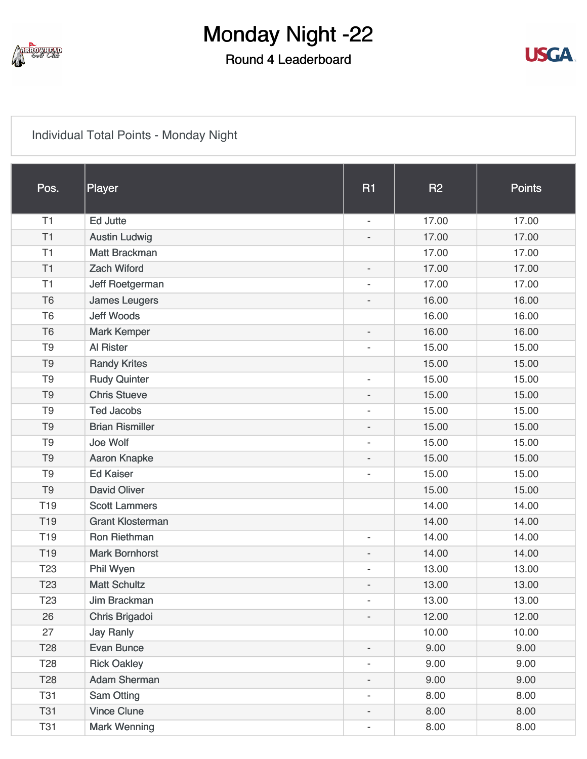

### Round 4 Leaderboard



#### [Individual Total Points - Monday Night](https://static.golfgenius.com/v2tournaments/8103117376943301690?called_from=&round_index=4)

| Pos.            | Player                  | <b>R1</b>                | <b>R2</b> | <b>Points</b> |
|-----------------|-------------------------|--------------------------|-----------|---------------|
| T1              | <b>Ed Jutte</b>         | $\overline{\phantom{a}}$ | 17.00     | 17.00         |
| T1              | <b>Austin Ludwig</b>    |                          | 17.00     | 17.00         |
| T1              | <b>Matt Brackman</b>    |                          | 17.00     | 17.00         |
| T1              | <b>Zach Wiford</b>      | $\overline{\phantom{a}}$ | 17.00     | 17.00         |
| T1              | Jeff Roetgerman         |                          | 17.00     | 17.00         |
| T <sub>6</sub>  | <b>James Leugers</b>    | $\overline{a}$           | 16.00     | 16.00         |
| T <sub>6</sub>  | <b>Jeff Woods</b>       |                          | 16.00     | 16.00         |
| T <sub>6</sub>  | <b>Mark Kemper</b>      | $\overline{\phantom{a}}$ | 16.00     | 16.00         |
| T <sub>9</sub>  | Al Rister               |                          | 15.00     | 15.00         |
| T <sub>9</sub>  | <b>Randy Krites</b>     |                          | 15.00     | 15.00         |
| T <sub>9</sub>  | <b>Rudy Quinter</b>     | $\overline{\phantom{a}}$ | 15.00     | 15.00         |
| T <sub>9</sub>  | <b>Chris Stueve</b>     | $\overline{\phantom{a}}$ | 15.00     | 15.00         |
| T <sub>9</sub>  | <b>Ted Jacobs</b>       | $\overline{\phantom{0}}$ | 15.00     | 15.00         |
| T <sub>9</sub>  | <b>Brian Rismiller</b>  | $\overline{a}$           | 15.00     | 15.00         |
| T <sub>9</sub>  | Joe Wolf                | $\overline{\phantom{a}}$ | 15.00     | 15.00         |
| T <sub>9</sub>  | <b>Aaron Knapke</b>     | $\overline{\phantom{a}}$ | 15.00     | 15.00         |
| T <sub>9</sub>  | <b>Ed Kaiser</b>        |                          | 15.00     | 15.00         |
| T <sub>9</sub>  | <b>David Oliver</b>     |                          | 15.00     | 15.00         |
| T <sub>19</sub> | <b>Scott Lammers</b>    |                          | 14.00     | 14.00         |
| T <sub>19</sub> | <b>Grant Klosterman</b> |                          | 14.00     | 14.00         |
| T <sub>19</sub> | <b>Ron Riethman</b>     | $\overline{\phantom{0}}$ | 14.00     | 14.00         |
| T <sub>19</sub> | <b>Mark Bornhorst</b>   |                          | 14.00     | 14.00         |
| T <sub>23</sub> | Phil Wyen               | $\overline{\phantom{a}}$ | 13.00     | 13.00         |
| T <sub>23</sub> | <b>Matt Schultz</b>     | $\overline{\phantom{a}}$ | 13.00     | 13.00         |
| T <sub>23</sub> | Jim Brackman            | $\overline{\phantom{a}}$ | 13.00     | 13.00         |
| 26              | Chris Brigadoi          | $\overline{a}$           | 12.00     | 12.00         |
| 27              | <b>Jay Ranly</b>        |                          | 10.00     | 10.00         |
| T <sub>28</sub> | <b>Evan Bunce</b>       | $\overline{\phantom{a}}$ | 9.00      | 9.00          |
| T <sub>28</sub> | <b>Rick Oakley</b>      | $\overline{\phantom{a}}$ | 9.00      | 9.00          |
| <b>T28</b>      | <b>Adam Sherman</b>     | $\overline{\phantom{0}}$ | 9.00      | 9.00          |
| <b>T31</b>      | <b>Sam Otting</b>       | $\overline{\phantom{a}}$ | 8.00      | 8.00          |
| <b>T31</b>      | <b>Vince Clune</b>      | ۰.                       | 8.00      | 8.00          |
| <b>T31</b>      | <b>Mark Wenning</b>     |                          | 8.00      | 8.00          |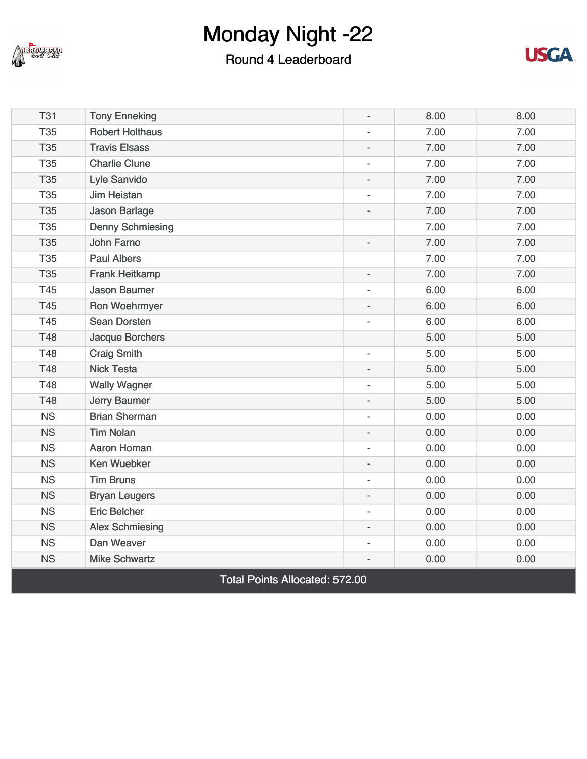

### Round 4 Leaderboard



| <b>T31</b>                            | <b>Tony Enneking</b>    | $\overline{\phantom{a}}$ | 8.00 | 8.00 |  |
|---------------------------------------|-------------------------|--------------------------|------|------|--|
| <b>T35</b>                            | <b>Robert Holthaus</b>  | $\overline{\phantom{a}}$ | 7.00 | 7.00 |  |
| <b>T35</b>                            | <b>Travis Elsass</b>    | $\overline{a}$           | 7.00 | 7.00 |  |
| <b>T35</b>                            | <b>Charlie Clune</b>    | $\overline{\phantom{a}}$ | 7.00 | 7.00 |  |
| <b>T35</b>                            | Lyle Sanvido            | $\overline{a}$           | 7.00 | 7.00 |  |
| <b>T35</b>                            | <b>Jim Heistan</b>      | $\overline{\phantom{a}}$ | 7.00 | 7.00 |  |
| <b>T35</b>                            | <b>Jason Barlage</b>    |                          | 7.00 | 7.00 |  |
| <b>T35</b>                            | <b>Denny Schmiesing</b> |                          | 7.00 | 7.00 |  |
| <b>T35</b>                            | John Farno              | $\overline{a}$           | 7.00 | 7.00 |  |
| <b>T35</b>                            | <b>Paul Albers</b>      |                          | 7.00 | 7.00 |  |
| <b>T35</b>                            | <b>Frank Heitkamp</b>   | $\overline{a}$           | 7.00 | 7.00 |  |
| T45                                   | <b>Jason Baumer</b>     | ÷,                       | 6.00 | 6.00 |  |
| <b>T45</b>                            | Ron Woehrmyer           | $\overline{a}$           | 6.00 | 6.00 |  |
| T45                                   | <b>Sean Dorsten</b>     | $\overline{a}$           | 6.00 | 6.00 |  |
| <b>T48</b>                            | <b>Jacque Borchers</b>  |                          | 5.00 | 5.00 |  |
| <b>T48</b>                            | <b>Craig Smith</b>      | $\overline{\phantom{a}}$ | 5.00 | 5.00 |  |
| T48                                   | <b>Nick Testa</b>       | $\overline{a}$           | 5.00 | 5.00 |  |
| T48                                   | <b>Wally Wagner</b>     | $\overline{\phantom{a}}$ | 5.00 | 5.00 |  |
| <b>T48</b>                            | <b>Jerry Baumer</b>     | $\overline{a}$           | 5.00 | 5.00 |  |
| <b>NS</b>                             | <b>Brian Sherman</b>    | $\overline{\phantom{a}}$ | 0.00 | 0.00 |  |
| <b>NS</b>                             | <b>Tim Nolan</b>        |                          | 0.00 | 0.00 |  |
| <b>NS</b>                             | <b>Aaron Homan</b>      | $\overline{a}$           | 0.00 | 0.00 |  |
| <b>NS</b>                             | <b>Ken Wuebker</b>      | $\overline{a}$           | 0.00 | 0.00 |  |
| <b>NS</b>                             | <b>Tim Bruns</b>        |                          | 0.00 | 0.00 |  |
| <b>NS</b>                             | <b>Bryan Leugers</b>    | $\overline{a}$           | 0.00 | 0.00 |  |
| <b>NS</b>                             | <b>Eric Belcher</b>     | $\overline{a}$           | 0.00 | 0.00 |  |
| <b>NS</b>                             | <b>Alex Schmiesing</b>  | $\overline{a}$           | 0.00 | 0.00 |  |
| <b>NS</b>                             | Dan Weaver              | $\overline{a}$           | 0.00 | 0.00 |  |
| <b>NS</b>                             | <b>Mike Schwartz</b>    |                          | 0.00 | 0.00 |  |
| <b>Total Points Allocated: 572.00</b> |                         |                          |      |      |  |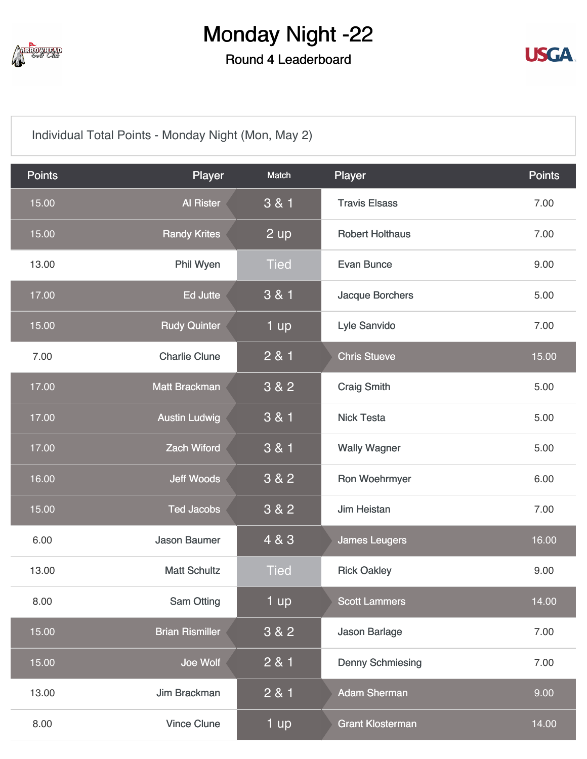

Round 4 Leaderboard



[Individual Total Points - Monday Night \(Mon, May 2\)](https://static.golfgenius.com/v2tournaments/8103117386271433790?called_from=&round_index=4)

| <b>Points</b> | Player                 | Match       | Player                  | <b>Points</b> |
|---------------|------------------------|-------------|-------------------------|---------------|
| 15.00         | <b>Al Rister</b>       | 3 & 1       | <b>Travis Elsass</b>    | 7.00          |
| 15.00         | <b>Randy Krites</b>    | 2 up        | <b>Robert Holthaus</b>  | 7.00          |
| 13.00         | Phil Wyen              | <b>Tied</b> | <b>Evan Bunce</b>       | 9.00          |
| 17.00         | <b>Ed Jutte</b>        | 3 & 1       | Jacque Borchers         | 5.00          |
| 15.00         | <b>Rudy Quinter</b>    | 1 up        | Lyle Sanvido            | 7.00          |
| 7.00          | <b>Charlie Clune</b>   | 2 & 1       | <b>Chris Stueve</b>     | 15.00         |
| 17.00         | <b>Matt Brackman</b>   | 3 & 2       | <b>Craig Smith</b>      | 5.00          |
| 17.00         | <b>Austin Ludwig</b>   | 3 & 1       | <b>Nick Testa</b>       | 5.00          |
| 17.00         | <b>Zach Wiford</b>     | 3 & 1       | <b>Wally Wagner</b>     | 5.00          |
| 16.00         | <b>Jeff Woods</b>      | 3 & 2       | Ron Woehrmyer           | 6.00          |
| 15.00         | <b>Ted Jacobs</b>      | 3 & 2       | <b>Jim Heistan</b>      | 7.00          |
| 6.00          | <b>Jason Baumer</b>    | 4 & 3       | <b>James Leugers</b>    | 16.00         |
| 13.00         | <b>Matt Schultz</b>    | <b>Tied</b> | <b>Rick Oakley</b>      | 9.00          |
| 8.00          | <b>Sam Otting</b>      | 1 up        | <b>Scott Lammers</b>    | 14.00         |
| 15.00         | <b>Brian Rismiller</b> | 3 & 2       | Jason Barlage           | 7.00          |
| 15.00         | Joe Wolf               | 2 & 1       | <b>Denny Schmiesing</b> | 7.00          |
| 13.00         | Jim Brackman           | 2 & 1       | <b>Adam Sherman</b>     | 9.00          |
| 8.00          | <b>Vince Clune</b>     | 1 up        | <b>Grant Klosterman</b> | 14.00         |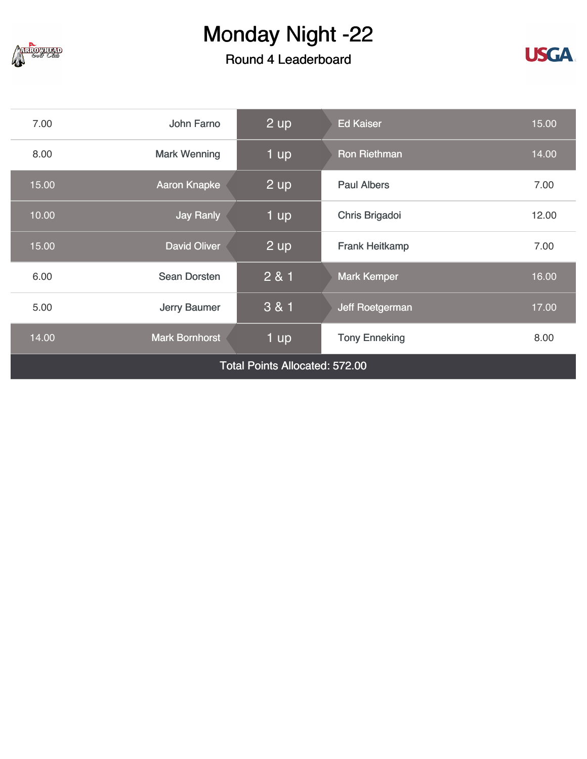

### Round 4 Leaderboard



| 7.00                                  | John Farno            | 2 up              | <b>Ed Kaiser</b>      | 15.00 |
|---------------------------------------|-----------------------|-------------------|-----------------------|-------|
| 8.00                                  | <b>Mark Wenning</b>   | 1 up              | <b>Ron Riethman</b>   | 14.00 |
| 15.00                                 | <b>Aaron Knapke</b>   | $2 \overline{up}$ | <b>Paul Albers</b>    | 7.00  |
| 10.00                                 | <b>Jay Ranly</b>      | 1 up              | Chris Brigadoi        | 12.00 |
| 15.00                                 | <b>David Oliver</b>   | $\overline{2}$ up | <b>Frank Heitkamp</b> | 7.00  |
| 6.00                                  | <b>Sean Dorsten</b>   | 281               | <b>Mark Kemper</b>    | 16.00 |
| 5.00                                  | Jerry Baumer          | 3 & 1             | Jeff Roetgerman       | 17.00 |
| 14.00                                 | <b>Mark Bornhorst</b> | 1 up              | <b>Tony Enneking</b>  | 8.00  |
| <b>Total Points Allocated: 572.00</b> |                       |                   |                       |       |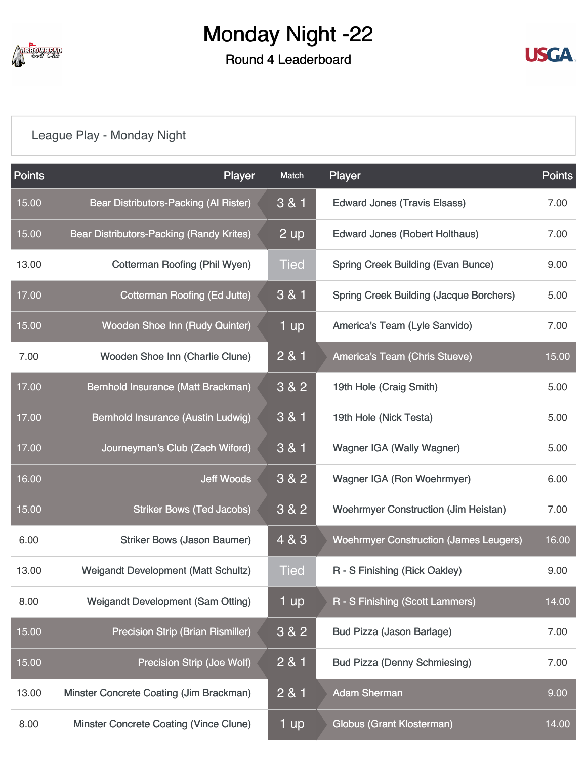

### Round 4 Leaderboard



### [League Play - Monday Night](https://static.golfgenius.com/v2tournaments/8103117018011542533?called_from=&round_index=4)

| <b>Points</b> | Player                                     | Match       | Player                                         | Points |
|---------------|--------------------------------------------|-------------|------------------------------------------------|--------|
| 15.00         | Bear Distributors-Packing (Al Rister)      | 3 & 1       | <b>Edward Jones (Travis Elsass)</b>            | 7.00   |
| 15.00         | Bear Distributors-Packing (Randy Krites)   | $2$ up      | Edward Jones (Robert Holthaus)                 | 7.00   |
| 13.00         | <b>Cotterman Roofing (Phil Wyen)</b>       | <b>Tied</b> | <b>Spring Creek Building (Evan Bunce)</b>      | 9.00   |
| 17.00         | <b>Cotterman Roofing (Ed Jutte)</b>        | 3 & 1       | <b>Spring Creek Building (Jacque Borchers)</b> | 5.00   |
| 15.00         | Wooden Shoe Inn (Rudy Quinter)             | 1 up        | America's Team (Lyle Sanvido)                  | 7.00   |
| 7.00          | Wooden Shoe Inn (Charlie Clune)            | 2 & 1       | America's Team (Chris Stueve)                  | 15.00  |
| 17.00         | Bernhold Insurance (Matt Brackman)         | 3 & 2       | 19th Hole (Craig Smith)                        | 5.00   |
| 17.00         | Bernhold Insurance (Austin Ludwig)         | 3 & 1       | 19th Hole (Nick Testa)                         | 5.00   |
| 17.00         | Journeyman's Club (Zach Wiford)            | 3 & 1       | <b>Wagner IGA (Wally Wagner)</b>               | 5.00   |
| 16.00         | <b>Jeff Woods</b>                          | 3 & 2       | Wagner IGA (Ron Woehrmyer)                     | 6.00   |
| 15.00         | <b>Striker Bows (Ted Jacobs)</b>           | 3 & 2       | <b>Woehrmyer Construction (Jim Heistan)</b>    | 7.00   |
| 6.00          | <b>Striker Bows (Jason Baumer)</b>         | 4 & 3       | <b>Woehrmyer Construction (James Leugers)</b>  | 16.00  |
| 13.00         | <b>Weigandt Development (Matt Schultz)</b> | <b>Tied</b> | R - S Finishing (Rick Oakley)                  | 9.00   |
| 8.00          | <b>Weigandt Development (Sam Otting)</b>   | 1 up        | R - S Finishing (Scott Lammers)                | 14.00  |
| 15.00         | <b>Precision Strip (Brian Rismiller)</b>   | 3 & 2       | Bud Pizza (Jason Barlage)                      | 7.00   |
| 15.00         | <b>Precision Strip (Joe Wolf)</b>          | 2 & 1       | <b>Bud Pizza (Denny Schmiesing)</b>            | 7.00   |
| 13.00         | Minster Concrete Coating (Jim Brackman)    | 2 & 1       | <b>Adam Sherman</b>                            | 9.00   |
| 8.00          | Minster Concrete Coating (Vince Clune)     | 1 up        | <b>Globus (Grant Klosterman)</b>               | 14.00  |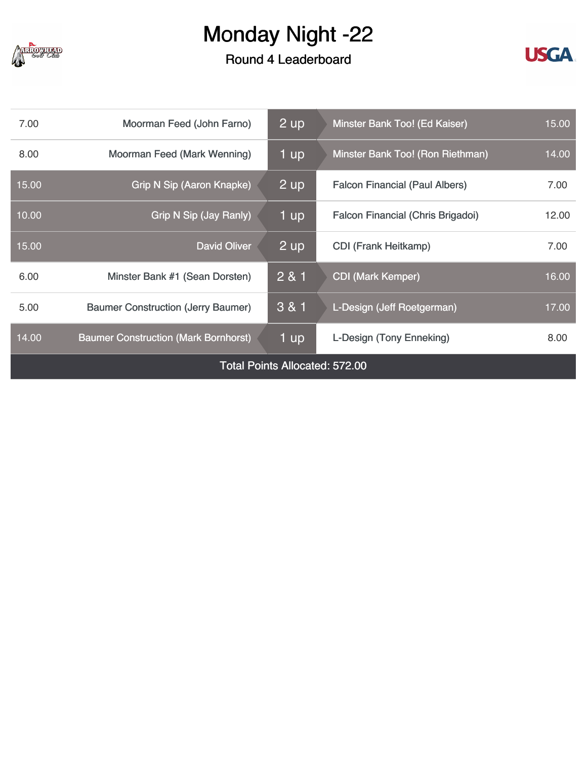

### Round 4 Leaderboard



| 7.00                                  | Moorman Feed (John Farno)                   | $2$ up | Minster Bank Too! (Ed Kaiser)         | 15.00 |  |
|---------------------------------------|---------------------------------------------|--------|---------------------------------------|-------|--|
| 8.00                                  | Moorman Feed (Mark Wenning)                 | 1 up   | Minster Bank Too! (Ron Riethman)      | 14.00 |  |
| 15.00                                 | <b>Grip N Sip (Aaron Knapke)</b>            | 2 up   | <b>Falcon Financial (Paul Albers)</b> | 7.00  |  |
| 10.00                                 | Grip N Sip (Jay Ranly)                      | 1 up   | Falcon Financial (Chris Brigadoi)     | 12.00 |  |
| 15.00                                 | <b>David Oliver</b>                         | 2 up   | <b>CDI (Frank Heitkamp)</b>           | 7.00  |  |
| 6.00                                  | Minster Bank #1 (Sean Dorsten)              | 2 & 1  | <b>CDI (Mark Kemper)</b>              | 16.00 |  |
| 5.00                                  | <b>Baumer Construction (Jerry Baumer)</b>   | 3 & 1  | L-Design (Jeff Roetgerman)            | 17.00 |  |
| 14.00                                 | <b>Baumer Construction (Mark Bornhorst)</b> | 1 up   | L-Design (Tony Enneking)              | 8.00  |  |
| <b>Total Points Allocated: 572.00</b> |                                             |        |                                       |       |  |